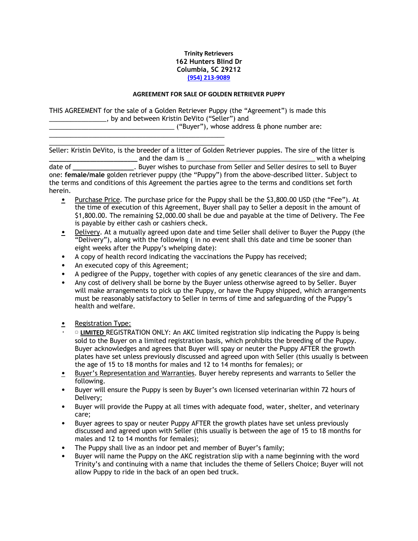## **Trinity Retrievers 162 Hunters Blind Dr Columbia, SC 29212 (954) 213-9089**

## **AGREEMENT FOR SALE OF GOLDEN RETRIEVER PUPPY**

THIS AGREEMENT for the sale of a Golden Retriever Puppy (the "Agreement") is made this \_\_\_\_\_\_\_\_\_\_\_\_\_\_\_\_, by and between Kristin DeVito ("Seller") and

\_\_\_\_\_\_\_\_\_\_\_\_\_\_\_\_\_\_\_\_\_\_\_\_\_\_\_\_\_\_\_\_\_\_\_ ("Buyer"), whose address & phone number are:

 $\frac{1}{2}$  , and the set of the set of the set of the set of the set of the set of the set of the set of the set of the set of the set of the set of the set of the set of the set of the set of the set of the set of the set Seller: Kristin DeVito, is the breeder of a litter of Golden Retriever puppies. The sire of the litter is and the dam is **and is a support of the dam is** and the dam is a with a whelping date of **wave all the Supplem Europe Seller** and Seller desires to sell to Buyer one: **female/male** golden retriever puppy (the "Puppy") from the above-described litter. Subject to the terms and conditions of this Agreement the parties agree to the terms and conditions set forth herein.

- Purchase Price. The purchase price for the Puppy shall be the \$3,800.00 USD (the "Fee"). At the time of execution of this Agreement, Buyer shall pay to Seller a deposit in the amount of \$1,800.00. The remaining \$2,000.00 shall be due and payable at the time of Delivery. The Fee is payable by either cash or cashiers check.
- Delivery. At a mutually agreed upon date and time Seller shall deliver to Buyer the Puppy (the "Delivery"), along with the following ( in no event shall this date and time be sooner than eight weeks after the Puppy's whelping date):
- A copy of health record indicating the vaccinations the Puppy has received;
- An executed copy of this Agreement;

 $\frac{1}{2}$  ,  $\frac{1}{2}$  ,  $\frac{1}{2}$  ,  $\frac{1}{2}$  ,  $\frac{1}{2}$  ,  $\frac{1}{2}$  ,  $\frac{1}{2}$  ,  $\frac{1}{2}$  ,  $\frac{1}{2}$  ,  $\frac{1}{2}$  ,  $\frac{1}{2}$  ,  $\frac{1}{2}$  ,  $\frac{1}{2}$  ,  $\frac{1}{2}$  ,  $\frac{1}{2}$  ,  $\frac{1}{2}$  ,  $\frac{1}{2}$  ,  $\frac{1}{2}$  ,  $\frac{1$ 

- A pedigree of the Puppy, together with copies of any genetic clearances of the sire and dam.
- Any cost of delivery shall be borne by the Buyer unless otherwise agreed to by Seller. Buyer will make arrangements to pick up the Puppy, or have the Puppy shipped, which arrangements must be reasonably satisfactory to Seller in terms of time and safeguarding of the Puppy's health and welfare.
- Registration Type:
- **D** LIMITED REGISTRATION ONLY: An AKC limited registration slip indicating the Puppy is being sold to the Buyer on a limited registration basis, which prohibits the breeding of the Puppy. Buyer acknowledges and agrees that Buyer will spay or neuter the Puppy AFTER the growth plates have set unless previously discussed and agreed upon with Seller (this usually is between the age of 15 to 18 months for males and 12 to 14 months for females); or
- Buyer's Representation and Warranties. Buyer hereby represents and warrants to Seller the following.
- Buyer will ensure the Puppy is seen by Buyer's own licensed veterinarian within 72 hours of Delivery;
- Buyer will provide the Puppy at all times with adequate food, water, shelter, and veterinary care;
- Buyer agrees to spay or neuter Puppy AFTER the growth plates have set unless previously discussed and agreed upon with Seller (this usually is between the age of 15 to 18 months for males and 12 to 14 months for females);
- The Puppy shall live as an indoor pet and member of Buyer's family;
- Buyer will name the Puppy on the AKC registration slip with a name beginning with the word Trinity's and continuing with a name that includes the theme of Sellers Choice; Buyer will not allow Puppy to ride in the back of an open bed truck.